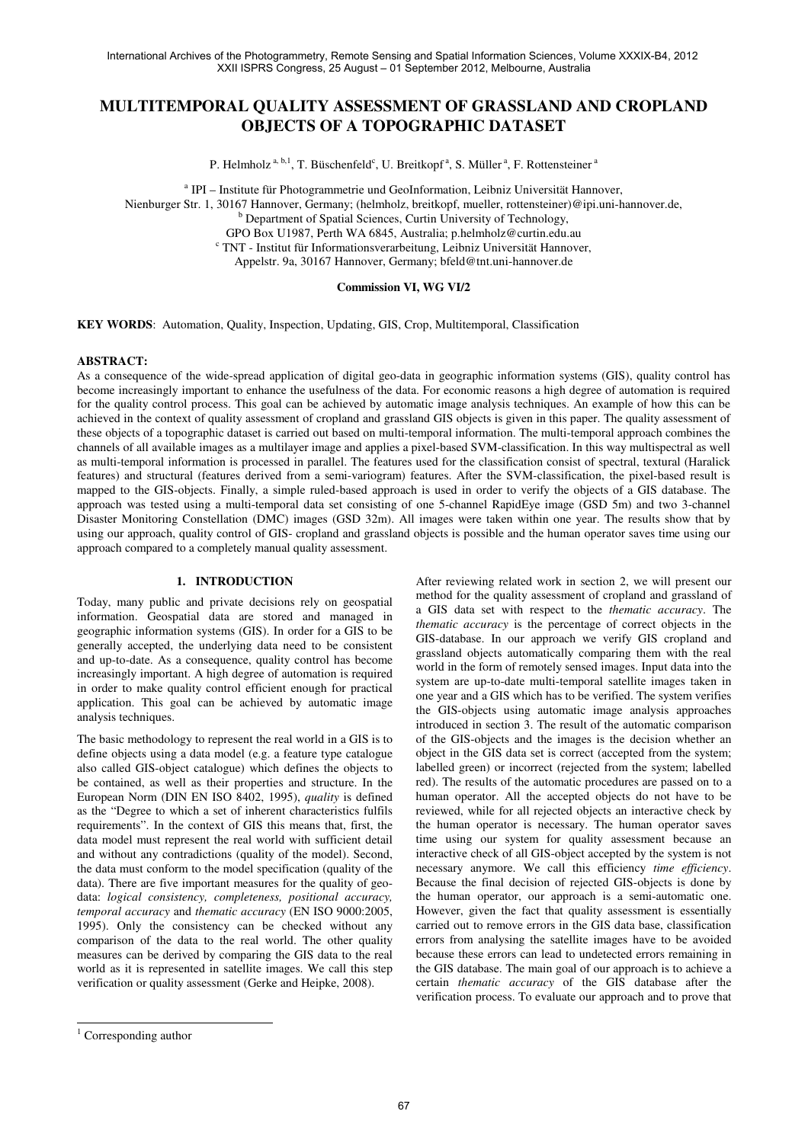# **MULTITEMPORAL QUALITY ASSESSMENT OF GRASSLAND AND CROPLAND OBJECTS OF A TOPOGRAPHIC DATASET**

P. Helmholz<sup>a, b,1</sup>, T. Büschenfeld<sup>c</sup>, U. Breitkopf<sup>a</sup>, S. Müller<sup>a</sup>, F. Rottensteiner<sup>a</sup>

<sup>a</sup> IPI – Institute für Photogrammetrie und GeoInformation, Leibniz Universität Hannover,

Nienburger Str. 1, 30167 Hannover, Germany; (helmholz, breitkopf, mueller, rottensteiner)@ipi.uni-hannover.de,

<sup>b</sup> Department of Spatial Sciences, Curtin University of Technology,

GPO Box U1987, Perth WA 6845, Australia; p.helmholz@curtin.edu.au

c TNT - Institut für Informationsverarbeitung, Leibniz Universität Hannover,

Appelstr. 9a, 30167 Hannover, Germany; bfeld@tnt.uni-hannover.de

### **Commission VI, WG VI/2**

**KEY WORDS**: Automation, Quality, Inspection, Updating, GIS, Crop, Multitemporal, Classification

#### **ABSTRACT:**

As a consequence of the wide-spread application of digital geo-data in geographic information systems (GIS), quality control has become increasingly important to enhance the usefulness of the data. For economic reasons a high degree of automation is required for the quality control process. This goal can be achieved by automatic image analysis techniques. An example of how this can be achieved in the context of quality assessment of cropland and grassland GIS objects is given in this paper. The quality assessment of these objects of a topographic dataset is carried out based on multi-temporal information. The multi-temporal approach combines the channels of all available images as a multilayer image and applies a pixel-based SVM-classification. In this way multispectral as well as multi-temporal information is processed in parallel. The features used for the classification consist of spectral, textural (Haralick features) and structural (features derived from a semi-variogram) features. After the SVM-classification, the pixel-based result is mapped to the GIS-objects. Finally, a simple ruled-based approach is used in order to verify the objects of a GIS database. The approach was tested using a multi-temporal data set consisting of one 5-channel RapidEye image (GSD 5m) and two 3-channel Disaster Monitoring Constellation (DMC) images (GSD 32m). All images were taken within one year. The results show that by using our approach, quality control of GIS- cropland and grassland objects is possible and the human operator saves time using our approach compared to a completely manual quality assessment.

### **1. INTRODUCTION**

Today, many public and private decisions rely on geospatial information. Geospatial data are stored and managed in geographic information systems (GIS). In order for a GIS to be generally accepted, the underlying data need to be consistent and up-to-date. As a consequence, quality control has become increasingly important. A high degree of automation is required in order to make quality control efficient enough for practical application. This goal can be achieved by automatic image analysis techniques.

The basic methodology to represent the real world in a GIS is to define objects using a data model (e.g. a feature type catalogue also called GIS-object catalogue) which defines the objects to be contained, as well as their properties and structure. In the European Norm (DIN EN ISO 8402, 1995), *quality* is defined as the "Degree to which a set of inherent characteristics fulfils requirements". In the context of GIS this means that, first, the data model must represent the real world with sufficient detail and without any contradictions (quality of the model). Second, the data must conform to the model specification (quality of the data). There are five important measures for the quality of geodata: *logical consistency, completeness, positional accuracy, temporal accuracy* and *thematic accuracy* (EN ISO 9000:2005, 1995). Only the consistency can be checked without any comparison of the data to the real world. The other quality measures can be derived by comparing the GIS data to the real world as it is represented in satellite images. We call this step verification or quality assessment (Gerke and Heipke, 2008).

After reviewing related work in section 2, we will present our method for the quality assessment of cropland and grassland of a GIS data set with respect to the *thematic accuracy*. The *thematic accuracy* is the percentage of correct objects in the GIS-database. In our approach we verify GIS cropland and grassland objects automatically comparing them with the real world in the form of remotely sensed images. Input data into the system are up-to-date multi-temporal satellite images taken in one year and a GIS which has to be verified. The system verifies the GIS-objects using automatic image analysis approaches introduced in section 3. The result of the automatic comparison of the GIS-objects and the images is the decision whether an object in the GIS data set is correct (accepted from the system; labelled green) or incorrect (rejected from the system; labelled red). The results of the automatic procedures are passed on to a human operator. All the accepted objects do not have to be reviewed, while for all rejected objects an interactive check by the human operator is necessary. The human operator saves time using our system for quality assessment because an interactive check of all GIS-object accepted by the system is not necessary anymore. We call this efficiency *time efficiency*. Because the final decision of rejected GIS-objects is done by the human operator, our approach is a semi-automatic one. However, given the fact that quality assessment is essentially carried out to remove errors in the GIS data base, classification errors from analysing the satellite images have to be avoided because these errors can lead to undetected errors remaining in the GIS database. The main goal of our approach is to achieve a certain *thematic accuracy* of the GIS database after the verification process. To evaluate our approach and to prove that

<sup>&</sup>lt;sup>1</sup> Corresponding author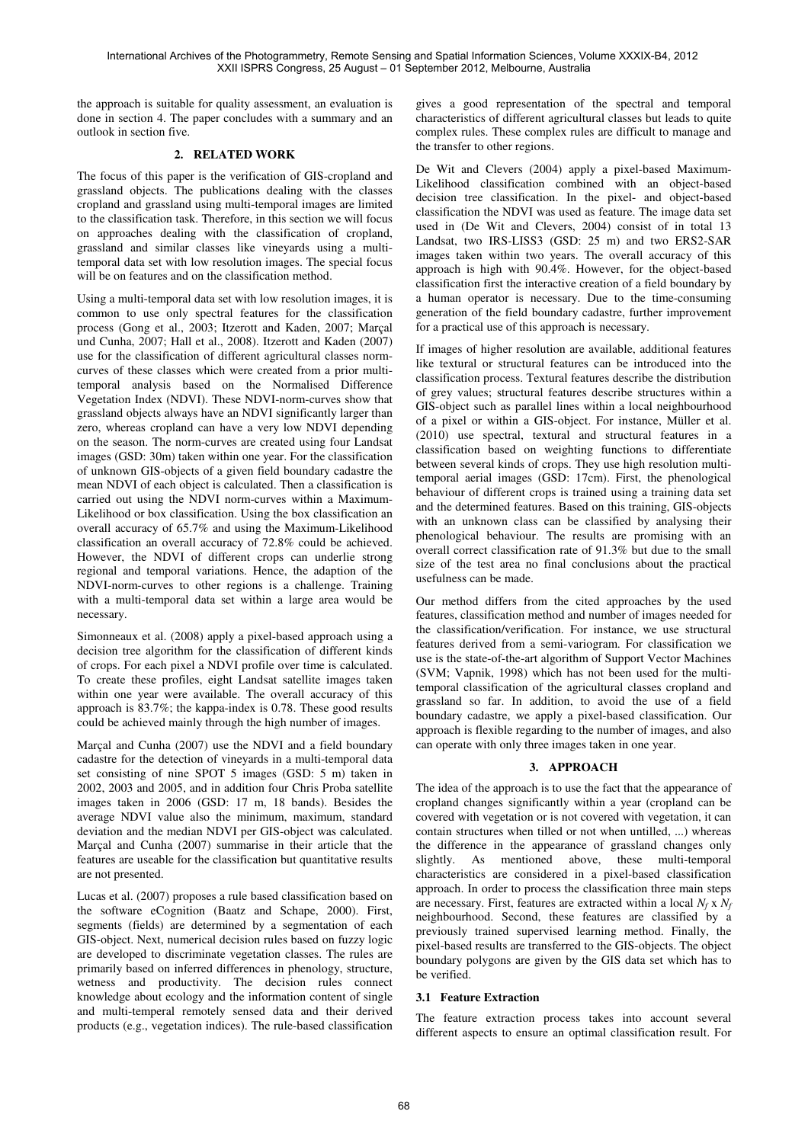the approach is suitable for quality assessment, an evaluation is done in section 4. The paper concludes with a summary and an outlook in section five.

# **2. RELATED WORK**

The focus of this paper is the verification of GIS-cropland and grassland objects. The publications dealing with the classes cropland and grassland using multi-temporal images are limited to the classification task. Therefore, in this section we will focus on approaches dealing with the classification of cropland, grassland and similar classes like vineyards using a multitemporal data set with low resolution images. The special focus will be on features and on the classification method.

Using a multi-temporal data set with low resolution images, it is common to use only spectral features for the classification process (Gong et al., 2003; Itzerott and Kaden, 2007; Marçal und Cunha, 2007; Hall et al., 2008). Itzerott and Kaden (2007) use for the classification of different agricultural classes normcurves of these classes which were created from a prior multitemporal analysis based on the Normalised Difference Vegetation Index (NDVI). These NDVI-norm-curves show that grassland objects always have an NDVI significantly larger than zero, whereas cropland can have a very low NDVI depending on the season. The norm-curves are created using four Landsat images (GSD: 30m) taken within one year. For the classification of unknown GIS-objects of a given field boundary cadastre the mean NDVI of each object is calculated. Then a classification is carried out using the NDVI norm-curves within a Maximum-Likelihood or box classification. Using the box classification an overall accuracy of 65.7% and using the Maximum-Likelihood classification an overall accuracy of 72.8% could be achieved. However, the NDVI of different crops can underlie strong regional and temporal variations. Hence, the adaption of the NDVI-norm-curves to other regions is a challenge. Training with a multi-temporal data set within a large area would be necessary.

Simonneaux et al. (2008) apply a pixel-based approach using a decision tree algorithm for the classification of different kinds of crops. For each pixel a NDVI profile over time is calculated. To create these profiles, eight Landsat satellite images taken within one year were available. The overall accuracy of this approach is 83.7%; the kappa-index is 0.78. These good results could be achieved mainly through the high number of images.

Marçal and Cunha (2007) use the NDVI and a field boundary cadastre for the detection of vineyards in a multi-temporal data set consisting of nine SPOT 5 images (GSD: 5 m) taken in 2002, 2003 and 2005, and in addition four Chris Proba satellite images taken in 2006 (GSD: 17 m, 18 bands). Besides the average NDVI value also the minimum, maximum, standard deviation and the median NDVI per GIS-object was calculated. Marçal and Cunha (2007) summarise in their article that the features are useable for the classification but quantitative results are not presented.

Lucas et al. (2007) proposes a rule based classification based on the software eCognition (Baatz and Schape, 2000). First, segments (fields) are determined by a segmentation of each GIS-object. Next, numerical decision rules based on fuzzy logic are developed to discriminate vegetation classes. The rules are primarily based on inferred differences in phenology, structure, wetness and productivity. The decision rules connect knowledge about ecology and the information content of single and multi-temperal remotely sensed data and their derived products (e.g., vegetation indices). The rule-based classification gives a good representation of the spectral and temporal characteristics of different agricultural classes but leads to quite complex rules. These complex rules are difficult to manage and the transfer to other regions.

De Wit and Clevers (2004) apply a pixel-based Maximum-Likelihood classification combined with an object-based decision tree classification. In the pixel- and object-based classification the NDVI was used as feature. The image data set used in (De Wit and Clevers, 2004) consist of in total 13 Landsat, two IRS-LISS3 (GSD: 25 m) and two ERS2-SAR images taken within two years. The overall accuracy of this approach is high with 90.4%. However, for the object-based classification first the interactive creation of a field boundary by a human operator is necessary. Due to the time-consuming generation of the field boundary cadastre, further improvement for a practical use of this approach is necessary.

If images of higher resolution are available, additional features like textural or structural features can be introduced into the classification process. Textural features describe the distribution of grey values; structural features describe structures within a GIS-object such as parallel lines within a local neighbourhood of a pixel or within a GIS-object. For instance, Müller et al. (2010) use spectral, textural and structural features in a classification based on weighting functions to differentiate between several kinds of crops. They use high resolution multitemporal aerial images (GSD: 17cm). First, the phenological behaviour of different crops is trained using a training data set and the determined features. Based on this training, GIS-objects with an unknown class can be classified by analysing their phenological behaviour. The results are promising with an overall correct classification rate of 91.3% but due to the small size of the test area no final conclusions about the practical usefulness can be made.

Our method differs from the cited approaches by the used features, classification method and number of images needed for the classification/verification. For instance, we use structural features derived from a semi-variogram. For classification we use is the state-of-the-art algorithm of Support Vector Machines (SVM; Vapnik, 1998) which has not been used for the multitemporal classification of the agricultural classes cropland and grassland so far. In addition, to avoid the use of a field boundary cadastre, we apply a pixel-based classification. Our approach is flexible regarding to the number of images, and also can operate with only three images taken in one year.

## **3. APPROACH**

The idea of the approach is to use the fact that the appearance of cropland changes significantly within a year (cropland can be covered with vegetation or is not covered with vegetation, it can contain structures when tilled or not when untilled, ...) whereas the difference in the appearance of grassland changes only slightly. As mentioned above, these multi-temporal characteristics are considered in a pixel-based classification approach. In order to process the classification three main steps are necessary. First, features are extracted within a local *N<sup>f</sup>* x *N<sup>f</sup>* neighbourhood. Second, these features are classified by a previously trained supervised learning method. Finally, the pixel-based results are transferred to the GIS-objects. The object boundary polygons are given by the GIS data set which has to be verified.

## **3.1 Feature Extraction**

The feature extraction process takes into account several different aspects to ensure an optimal classification result. For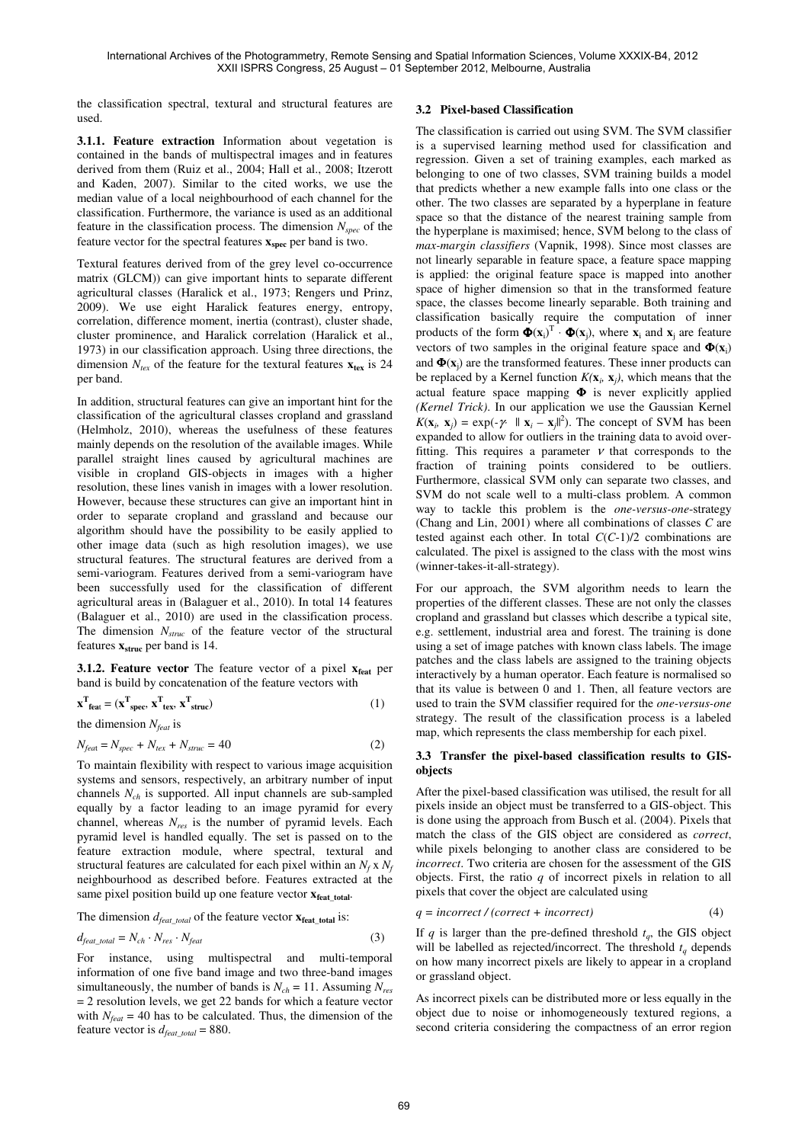the classification spectral, textural and structural features are used.

**3.1.1. Feature extraction** Information about vegetation is contained in the bands of multispectral images and in features derived from them (Ruiz et al., 2004; Hall et al., 2008; Itzerott and Kaden, 2007). Similar to the cited works, we use the median value of a local neighbourhood of each channel for the classification. Furthermore, the variance is used as an additional feature in the classification process. The dimension *Nspec* of the feature vector for the spectral features **xspec** per band is two.

Textural features derived from of the grey level co-occurrence matrix (GLCM)) can give important hints to separate different agricultural classes (Haralick et al., 1973; Rengers und Prinz, 2009). We use eight Haralick features energy, entropy, correlation, difference moment, inertia (contrast), cluster shade, cluster prominence, and Haralick correlation (Haralick et al., 1973) in our classification approach. Using three directions, the dimension  $N_{ter}$  of the feature for the textural features  $\mathbf{x}_{ter}$  is 24 per band.

In addition, structural features can give an important hint for the classification of the agricultural classes cropland and grassland (Helmholz, 2010), whereas the usefulness of these features mainly depends on the resolution of the available images. While parallel straight lines caused by agricultural machines are visible in cropland GIS-objects in images with a higher resolution, these lines vanish in images with a lower resolution. However, because these structures can give an important hint in order to separate cropland and grassland and because our algorithm should have the possibility to be easily applied to other image data (such as high resolution images), we use structural features. The structural features are derived from a semi-variogram. Features derived from a semi-variogram have been successfully used for the classification of different agricultural areas in (Balaguer et al., 2010). In total 14 features (Balaguer et al., 2010) are used in the classification process. The dimension *Nstruc* of the feature vector of the structural features **xstruc** per band is 14.

**3.1.2. Feature vector** The feature vector of a pixel **xfeat** per band is build by concatenation of the feature vectors with

$$
\mathbf{x}^{\mathrm{T}}_{\mathrm{feat}} = (\mathbf{x}^{\mathrm{T}}_{\mathrm{spec}}, \mathbf{x}^{\mathrm{T}}_{\mathrm{tex}} \mathbf{x}^{\mathrm{T}}_{\mathrm{struc}}) \tag{1}
$$

the dimension *Nfeat* is

$$
N_{feat} = N_{spec} + N_{tex} + N_{struc} = 40
$$
 (2)

To maintain flexibility with respect to various image acquisition systems and sensors, respectively, an arbitrary number of input channels *Nch* is supported. All input channels are sub-sampled equally by a factor leading to an image pyramid for every channel, whereas *Nres* is the number of pyramid levels. Each pyramid level is handled equally. The set is passed on to the feature extraction module, where spectral, textural and structural features are calculated for each pixel within an  $N_f$  x  $N_f$ neighbourhood as described before. Features extracted at the same pixel position build up one feature vector  $\mathbf{x}_{\text{feat\_total}}$ .

The dimension  $d_{feat\ total}$  of the feature vector  $\mathbf{x}_{feat\ total}$  is:

$$
d_{feat\_total} = N_{ch} \cdot N_{res} \cdot N_{feat}
$$
 (3)

For instance, using multispectral and multi-temporal information of one five band image and two three-band images simultaneously, the number of bands is  $N_{ch} = 11$ . Assuming  $N_{res}$ = 2 resolution levels, we get 22 bands for which a feature vector with  $N_{feat} = 40$  has to be calculated. Thus, the dimension of the feature vector is  $d_{feat\_total} = 880$ .

## **3.2 Pixel-based Classification**

The classification is carried out using SVM. The SVM classifier is a supervised learning method used for classification and regression. Given a set of training examples, each marked as belonging to one of two classes, SVM training builds a model that predicts whether a new example falls into one class or the other. The two classes are separated by a hyperplane in feature space so that the distance of the nearest training sample from the hyperplane is maximised; hence, SVM belong to the class of *max-margin classifiers* (Vapnik, 1998). Since most classes are not linearly separable in feature space, a feature space mapping is applied: the original feature space is mapped into another space of higher dimension so that in the transformed feature space, the classes become linearly separable. Both training and classification basically require the computation of inner products of the form  $\Phi(x_i)^T \cdot \Phi(x_j)$ , where  $x_i$  and  $x_j$  are feature vectors of two samples in the original feature space and  $\Phi(x_i)$ and  $\Phi(\mathbf{x}_j)$  are the transformed features. These inner products can be replaced by a Kernel function  $K(\mathbf{x}_i, \mathbf{x}_j)$ , which means that the actual feature space mapping Φ is never explicitly applied *(Kernel Trick)*. In our application we use the Gaussian Kernel  $K(\mathbf{x}_i, \mathbf{x}_j) = \exp(-\gamma \cdot ||\mathbf{x}_i - \mathbf{x}_j||^2)$ . The concept of SVM has been expanded to allow for outliers in the training data to avoid overfitting. This requires a parameter  $\nu$  that corresponds to the fraction of training points considered to be outliers. Furthermore, classical SVM only can separate two classes, and SVM do not scale well to a multi-class problem. A common way to tackle this problem is the *one-versus-one*-strategy (Chang and Lin, 2001) where all combinations of classes *C* are tested against each other. In total *C*(*C*-1)/2 combinations are calculated. The pixel is assigned to the class with the most wins (winner-takes-it-all-strategy).

For our approach, the SVM algorithm needs to learn the properties of the different classes. These are not only the classes cropland and grassland but classes which describe a typical site, e.g. settlement, industrial area and forest. The training is done using a set of image patches with known class labels. The image patches and the class labels are assigned to the training objects interactively by a human operator. Each feature is normalised so that its value is between 0 and 1. Then, all feature vectors are used to train the SVM classifier required for the *one-versus-one* strategy. The result of the classification process is a labeled map, which represents the class membership for each pixel.

### **3.3 Transfer the pixel-based classification results to GISobjects**

After the pixel-based classification was utilised, the result for all pixels inside an object must be transferred to a GIS-object. This is done using the approach from Busch et al. (2004). Pixels that match the class of the GIS object are considered as *correct*, while pixels belonging to another class are considered to be *incorrect*. Two criteria are chosen for the assessment of the GIS objects. First, the ratio *q* of incorrect pixels in relation to all pixels that cover the object are calculated using

$$
q = incorrect / (correct + incorrect)
$$
 (4)

If *q* is larger than the pre-defined threshold  $t_q$ , the GIS object will be labelled as rejected/incorrect. The threshold  $t_q$  depends on how many incorrect pixels are likely to appear in a cropland or grassland object.

As incorrect pixels can be distributed more or less equally in the object due to noise or inhomogeneously textured regions, a second criteria considering the compactness of an error region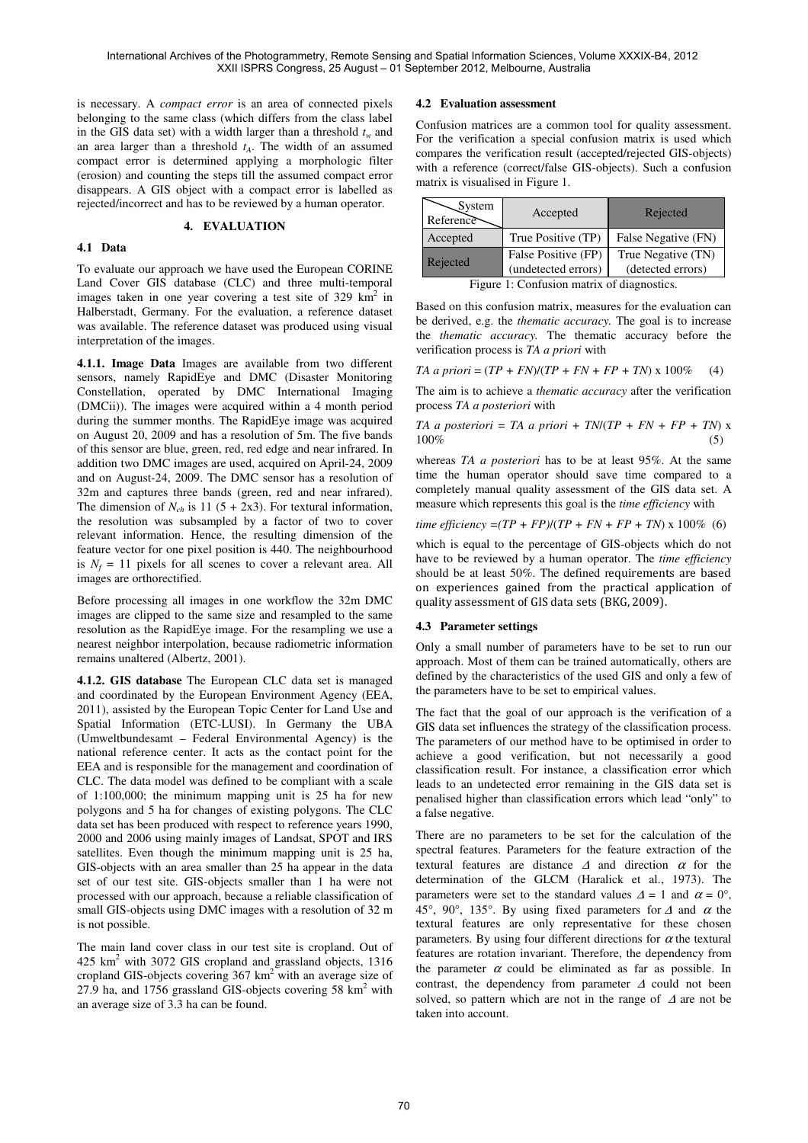is necessary. A *compact error* is an area of connected pixels belonging to the same class (which differs from the class label in the GIS data set) with a width larger than a threshold  $t_w$  and an area larger than a threshold *tA*. The width of an assumed compact error is determined applying a morphologic filter (erosion) and counting the steps till the assumed compact error disappears. A GIS object with a compact error is labelled as rejected/incorrect and has to be reviewed by a human operator.

#### **4. EVALUATION**

### **4.1 Data**

To evaluate our approach we have used the European CORINE Land Cover GIS database (CLC) and three multi-temporal images taken in one year covering a test site of 329 km<sup>2</sup> in Halberstadt, Germany. For the evaluation, a reference dataset was available. The reference dataset was produced using visual interpretation of the images.

**4.1.1. Image Data** Images are available from two different sensors, namely RapidEye and DMC (Disaster Monitoring Constellation, operated by DMC International Imaging (DMCii)). The images were acquired within a 4 month period during the summer months. The RapidEye image was acquired on August 20, 2009 and has a resolution of 5m. The five bands of this sensor are blue, green, red, red edge and near infrared. In addition two DMC images are used, acquired on April-24, 2009 and on August-24, 2009. The DMC sensor has a resolution of 32m and captures three bands (green, red and near infrared). The dimension of  $N_{ch}$  is 11 (5 + 2x3). For textural information, the resolution was subsampled by a factor of two to cover relevant information. Hence, the resulting dimension of the feature vector for one pixel position is 440. The neighbourhood is  $N_f = 11$  pixels for all scenes to cover a relevant area. All images are orthorectified.

Before processing all images in one workflow the 32m DMC images are clipped to the same size and resampled to the same resolution as the RapidEye image. For the resampling we use a nearest neighbor interpolation, because radiometric information remains unaltered (Albertz, 2001).

**4.1.2. GIS database** The European CLC data set is managed and coordinated by the European Environment Agency (EEA, 2011), assisted by the European Topic Center for Land Use and Spatial Information (ETC-LUSI). In Germany the UBA (Umweltbundesamt – Federal Environmental Agency) is the national reference center. It acts as the contact point for the EEA and is responsible for the management and coordination of CLC. The data model was defined to be compliant with a scale of 1:100,000; the minimum mapping unit is 25 ha for new polygons and 5 ha for changes of existing polygons. The CLC data set has been produced with respect to reference years 1990, 2000 and 2006 using mainly images of Landsat, SPOT and IRS satellites. Even though the minimum mapping unit is 25 ha, GIS-objects with an area smaller than 25 ha appear in the data set of our test site. GIS-objects smaller than 1 ha were not processed with our approach, because a reliable classification of small GIS-objects using DMC images with a resolution of 32 m is not possible.

The main land cover class in our test site is cropland. Out of 425 km<sup>2</sup> with 3072 GIS cropland and grassland objects, 1316 cropland GIS-objects covering  $367 \text{ km}^2$  with an average size of 27.9 ha, and 1756 grassland GIS-objects covering 58  $km<sup>2</sup>$  with an average size of 3.3 ha can be found.

### **4.2 Evaluation assessment**

Confusion matrices are a common tool for quality assessment. For the verification a special confusion matrix is used which compares the verification result (accepted/rejected GIS-objects) with a reference (correct/false GIS-objects). Such a confusion matrix is visualised in Figure 1.

| $\mathcal{S}$ ystem<br>Reference           | Accepted                                   | Rejected                                |  |
|--------------------------------------------|--------------------------------------------|-----------------------------------------|--|
| Accepted                                   | True Positive (TP)                         | False Negative (FN)                     |  |
| Rejected                                   | False Positive (FP)<br>(undetected errors) | True Negative (TN)<br>(detected errors) |  |
| Figure 1: Confusion matrix of diagnostics. |                                            |                                         |  |

Based on this confusion matrix, measures for the evaluation can be derived, e.g. the *thematic accuracy.* The goal is to increase the *thematic accuracy.* The thematic accuracy before the verification process is *TA a priori* with

*TA a priori* =  $(TP + FN)/(TP + FN + FP + TN) \times 100\%$  (4)

The aim is to achieve a *thematic accuracy* after the verification process *TA a posteriori* with

$$
TA \ a \ posteriori = TA \ a \ priori + TN/(TP + FN + FP + TN) \ x
$$
  
100% (5)

whereas *TA a posteriori* has to be at least 95%. At the same time the human operator should save time compared to a completely manual quality assessment of the GIS data set. A measure which represents this goal is the *time efficiency* with

*time efficiency* =( $TP + FP$ )/( $TP + FN + FP + TN$ ) x 100% (6)

which is equal to the percentage of GIS-objects which do not have to be reviewed by a human operator. The *time efficiency* should be at least 50%. The defined requirements are based on experiences gained from the practical application of quality assessment of GIS data sets (BKG, 2009).

## **4.3 Parameter settings**

Only a small number of parameters have to be set to run our approach. Most of them can be trained automatically, others are defined by the characteristics of the used GIS and only a few of the parameters have to be set to empirical values.

The fact that the goal of our approach is the verification of a GIS data set influences the strategy of the classification process. The parameters of our method have to be optimised in order to achieve a good verification, but not necessarily a good classification result. For instance, a classification error which leads to an undetected error remaining in the GIS data set is penalised higher than classification errors which lead "only" to a false negative.

There are no parameters to be set for the calculation of the spectral features. Parameters for the feature extraction of the textural features are distance  $\Delta$  and direction  $\alpha$  for the determination of the GLCM (Haralick et al., 1973). The parameters were set to the standard values  $\Delta = 1$  and  $\alpha = 0^{\circ}$ , 45°, 90°, 135°. By using fixed parameters for  $\Delta$  and  $\alpha$  the textural features are only representative for these chosen parameters. By using four different directions for  $\alpha$  the textural features are rotation invariant. Therefore, the dependency from the parameter  $\alpha$  could be eliminated as far as possible. In contrast, the dependency from parameter ∆ could not been solved, so pattern which are not in the range of ∆ are not be taken into account.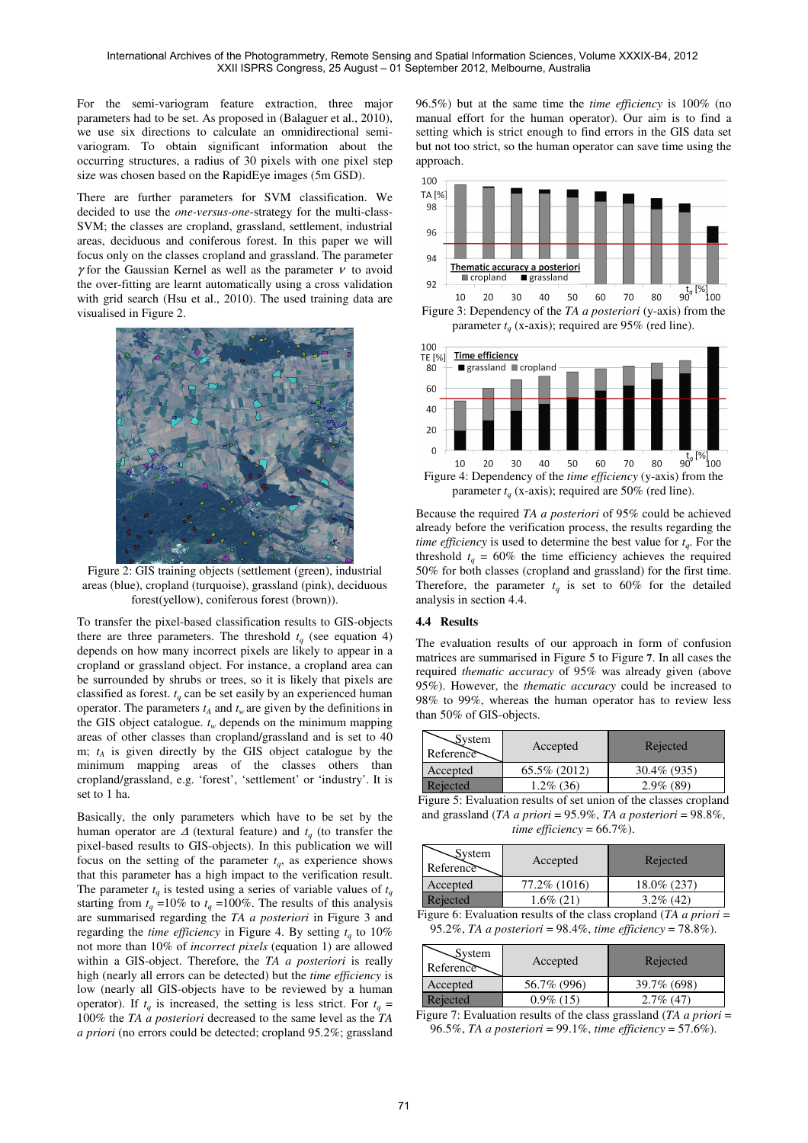For the semi-variogram feature extraction, three major parameters had to be set. As proposed in (Balaguer et al., 2010), we use six directions to calculate an omnidirectional semivariogram. To obtain significant information about the occurring structures, a radius of 30 pixels with one pixel step size was chosen based on the RapidEye images (5m GSD).

There are further parameters for SVM classification. We decided to use the *one-versus-one*-strategy for the multi-class-SVM; the classes are cropland, grassland, settlement, industrial areas, deciduous and coniferous forest. In this paper we will focus only on the classes cropland and grassland. The parameter γ for the Gaussian Kernel as well as the parameter  $ν$  to avoid the over-fitting are learnt automatically using a cross validation with grid search (Hsu et al., 2010). The used training data are visualised in Figure 2.



Figure 2: GIS training objects (settlement (green), industrial areas (blue), cropland (turquoise), grassland (pink), deciduous forest(yellow), coniferous forest (brown)).

To transfer the pixel-based classification results to GIS-objects there are three parameters. The threshold  $t_q$  (see equation 4) depends on how many incorrect pixels are likely to appear in a cropland or grassland object. For instance, a cropland area can be surrounded by shrubs or trees, so it is likely that pixels are classified as forest.  $t_q$  can be set easily by an experienced human operator. The parameters  $t_A$  and  $t_w$  are given by the definitions in the GIS object catalogue.  $t_w$  depends on the minimum mapping areas of other classes than cropland/grassland and is set to 40 m;  $t_A$  is given directly by the GIS object catalogue by the minimum mapping areas of the classes others than cropland/grassland, e.g. 'forest', 'settlement' or 'industry'. It is set to 1 ha.

Basically, the only parameters which have to be set by the human operator are  $\Delta$  (textural feature) and  $t_q$  (to transfer the pixel-based results to GIS-objects). In this publication we will focus on the setting of the parameter  $t_q$ , as experience shows that this parameter has a high impact to the verification result. The parameter  $t_q$  is tested using a series of variable values of  $t_q$ starting from  $t_q = 10\%$  to  $t_q = 100\%$ . The results of this analysis are summarised regarding the *TA a posteriori* in Figure 3 and regarding the *time efficiency* in Figure 4. By setting  $t_q$  to 10% not more than 10% of *incorrect pixels* (equation 1) are allowed within a GIS-object. Therefore, the *TA a posteriori* is really high (nearly all errors can be detected) but the *time efficiency* is low (nearly all GIS-objects have to be reviewed by a human operator). If  $t_q$  is increased, the setting is less strict. For  $t_q$  = 100% the *TA a posteriori* decreased to the same level as the *TA a priori* (no errors could be detected; cropland 95.2%; grassland

96.5%) but at the same time the *time efficiency* is 100% (no manual effort for the human operator). Our aim is to find a setting which is strict enough to find errors in the GIS data set but not too strict, so the human operator can save time using the approach.



Figure 3: Dependency of the *TA a posteriori* (y-axis) from the parameter  $t_q$  (x-axis); required are 95% (red line).



Because the required *TA a posteriori* of 95% could be achieved already before the verification process, the results regarding the *time efficiency* is used to determine the best value for *t<sup>q</sup>* . For the threshold  $t_q = 60\%$  the time efficiency achieves the required 50% for both classes (cropland and grassland) for the first time. Therefore, the parameter  $t_q$  is set to 60% for the detailed analysis in section 4.4.

### **4.4 Results**

The evaluation results of our approach in form of confusion matrices are summarised in Figure 5 to Figure **7**. In all cases the required *thematic accuracy* of 95% was already given (above 95%). However, the *thematic accuracy* could be increased to 98% to 99%, whereas the human operator has to review less than 50% of GIS-objects.

| System<br>Reference | Accepted     | Rejected     |
|---------------------|--------------|--------------|
| Accepted            | 65.5% (2012) | 30.4\% (935) |
| Rejected            | $1.2\%$ (36) | $2.9\%$ (89) |

Figure 5: Evaluation results of set union of the classes cropland and grassland (*TA a priori* = 95.9%, *TA a posteriori* = 98.8%, *time efficiency* =  $66.7\%$ ).

| $\mathcal{S}$ ystem<br>Reference | Accepted      | Rejected     |
|----------------------------------|---------------|--------------|
| Accepted                         | 77.2\% (1016) | 18.0\% (237) |
| Rejected                         | $1.6\%$ (21)  | $3.2\%$ (42) |

Figure 6: Evaluation results of the class cropland (*TA a priori* = 95.2%, *TA a posteriori* = 98.4%, *time efficiency* = 78.8%).

| $\mathcal{S}$ ystem<br>Reference | Accepted     | Rejected     |
|----------------------------------|--------------|--------------|
| Accepted                         | 56.7% (996)  | 39.7% (698)  |
| Rejected                         | $0.9\%$ (15) | $2.7\%$ (47) |

Figure 7: Evaluation results of the class grassland (*TA a priori* = 96.5%, *TA a posteriori* = 99.1%, *time efficiency* = 57.6%).